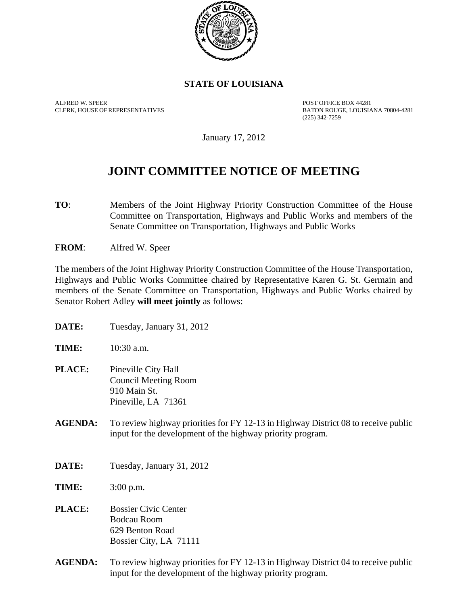

## **STATE OF LOUISIANA**

ALFRED W. SPEER POST OFFICE BOX 44281

BATON ROUGE, LOUISIANA 70804-4281 (225) 342-7259

January 17, 2012

## **JOINT COMMITTEE NOTICE OF MEETING**

**TO**: Members of the Joint Highway Priority Construction Committee of the House Committee on Transportation, Highways and Public Works and members of the Senate Committee on Transportation, Highways and Public Works

**FROM**: Alfred W. Speer

The members of the Joint Highway Priority Construction Committee of the House Transportation, Highways and Public Works Committee chaired by Representative Karen G. St. Germain and members of the Senate Committee on Transportation, Highways and Public Works chaired by Senator Robert Adley **will meet jointly** as follows:

| <b>DATE:</b>   | Tuesday, January 31, 2012                                                                                                                        |
|----------------|--------------------------------------------------------------------------------------------------------------------------------------------------|
| TIME:          | 10:30 a.m.                                                                                                                                       |
| <b>PLACE:</b>  | Pineville City Hall<br><b>Council Meeting Room</b><br>910 Main St.<br>Pineville, LA 71361                                                        |
| <b>AGENDA:</b> | To review highway priorities for FY 12-13 in Highway District 08 to receive public<br>input for the development of the highway priority program. |
| DATE:          | Tuesday, January 31, 2012                                                                                                                        |
| TIME:          | $3:00$ p.m.                                                                                                                                      |
| <b>PLACE:</b>  | <b>Bossier Civic Center</b><br><b>Bodcau Room</b><br>629 Benton Road<br>Bossier City, LA 71111                                                   |
| <b>AGENDA:</b> | To review highway priorities for FY 12-13 in Highway District 04 to receive public                                                               |

input for the development of the highway priority program.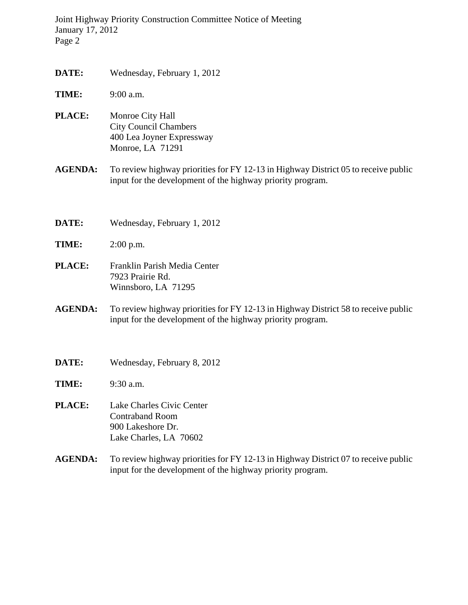Joint Highway Priority Construction Committee Notice of Meeting January 17, 2012 Page 2

- **DATE:** Wednesday, February 1, 2012
- **TIME:** 9:00 a.m.
- **PLACE:** Monroe City Hall City Council Chambers 400 Lea Joyner Expressway Monroe, LA 71291
- **AGENDA:** To review highway priorities for FY 12-13 in Highway District 05 to receive public input for the development of the highway priority program.
- **DATE:** Wednesday, February 1, 2012
- **TIME:** 2:00 p.m.
- **PLACE:** Franklin Parish Media Center 7923 Prairie Rd. Winnsboro, LA 71295
- **AGENDA:** To review highway priorities for FY 12-13 in Highway District 58 to receive public input for the development of the highway priority program.
- **DATE:** Wednesday, February 8, 2012
- **TIME:** 9:30 a.m.
- **PLACE:** Lake Charles Civic Center Contraband Room 900 Lakeshore Dr. Lake Charles, LA 70602
- **AGENDA:** To review highway priorities for FY 12-13 in Highway District 07 to receive public input for the development of the highway priority program.